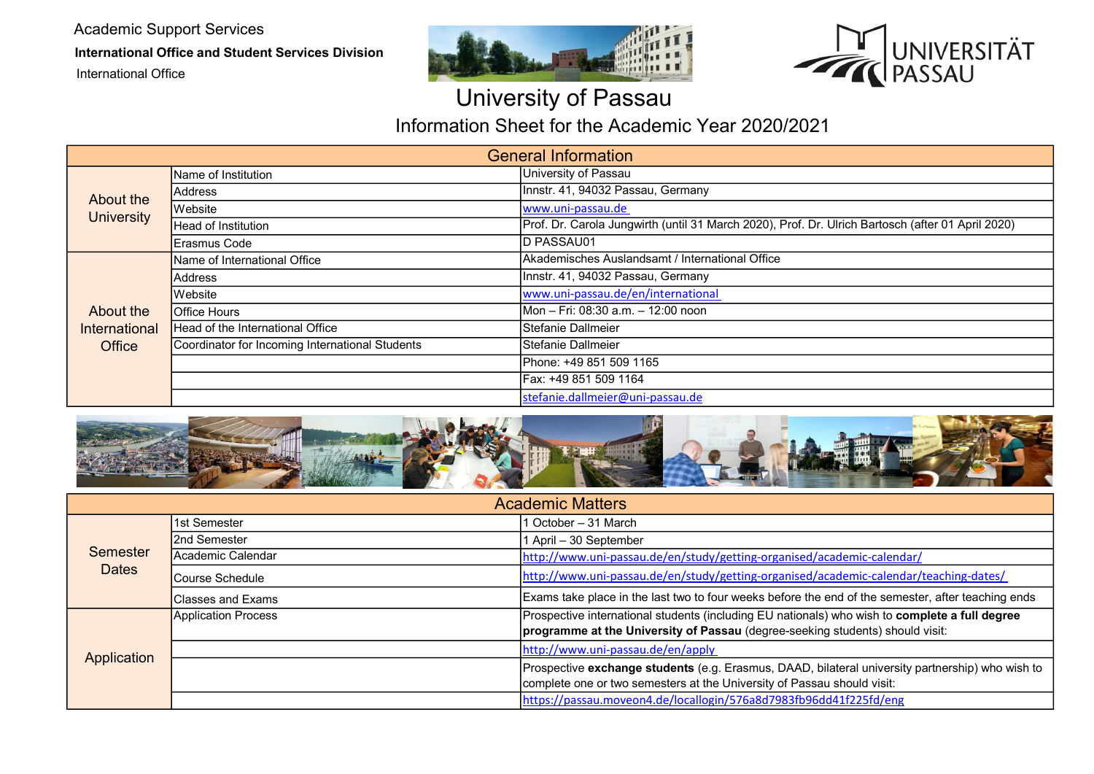Academic Support Services

International Office and Student Services Division

International Office





## University of Passau

Information Sheet for the Academic Year 2020/2021

| <b>General Information</b>           |                                                 |                                                                                                   |  |
|--------------------------------------|-------------------------------------------------|---------------------------------------------------------------------------------------------------|--|
| About the<br><b>University</b>       | Name of Institution                             | University of Passau                                                                              |  |
|                                      | <b>Address</b>                                  | Innstr. 41, 94032 Passau, Germany                                                                 |  |
|                                      | Website                                         | www.uni-passau.de                                                                                 |  |
|                                      | <b>Head of Institution</b>                      | Prof. Dr. Carola Jungwirth (until 31 March 2020), Prof. Dr. Ulrich Bartosch (after 01 April 2020) |  |
|                                      | Erasmus Code                                    | D PASSAU01                                                                                        |  |
| About the<br>International<br>Office | Name of International Office                    | Akademisches Auslandsamt / International Office                                                   |  |
|                                      | <b>Address</b>                                  | Innstr. 41, 94032 Passau, Germany                                                                 |  |
|                                      | <b>Website</b>                                  | www.uni-passau.de/en/international                                                                |  |
|                                      | <b>Office Hours</b>                             | Mon - Fri: 08:30 a.m. - 12:00 noon                                                                |  |
|                                      | Head of the International Office                | Stefanie Dallmeier                                                                                |  |
|                                      | Coordinator for Incoming International Students | Stefanie Dallmeier                                                                                |  |
|                                      |                                                 | lPhone: +49 851 509 1165                                                                          |  |
|                                      |                                                 | Fax: +49 851 509 1164                                                                             |  |
|                                      |                                                 | stefanie.dallmeier@uni-passau.de                                                                  |  |



| <b>Academic Matters</b> |                           |                                                                                                                                                                                 |
|-------------------------|---------------------------|---------------------------------------------------------------------------------------------------------------------------------------------------------------------------------|
| Semester<br>Dates       | 1st Semester              | October - 31 March                                                                                                                                                              |
|                         | I2nd Semester             | April - 30 September                                                                                                                                                            |
|                         | lAcademic Calendar        | http://www.uni-passau.de/en/study/getting-organised/academic-calendar/                                                                                                          |
|                         | lCourse Schedule          | http://www.uni-passau.de/en/study/getting-organised/academic-calendar/teaching-dates/                                                                                           |
|                         | <b>IClasses and Exams</b> | Exams take place in the last two to four weeks before the end of the semester, after teaching ends                                                                              |
| Application             | Application Process       | Prospective international students (including EU nationals) who wish to complete a full degree<br>programme at the University of Passau (degree-seeking students) should visit: |
|                         |                           | http://www.uni-passau.de/en/apply                                                                                                                                               |
|                         |                           | Prospective exchange students (e.g. Erasmus, DAAD, bilateral university partnership) who wish to<br>complete one or two semesters at the University of Passau should visit:     |
|                         |                           | https://passau.moveon4.de/locallogin/576a8d7983fb96dd41f225fd/eng                                                                                                               |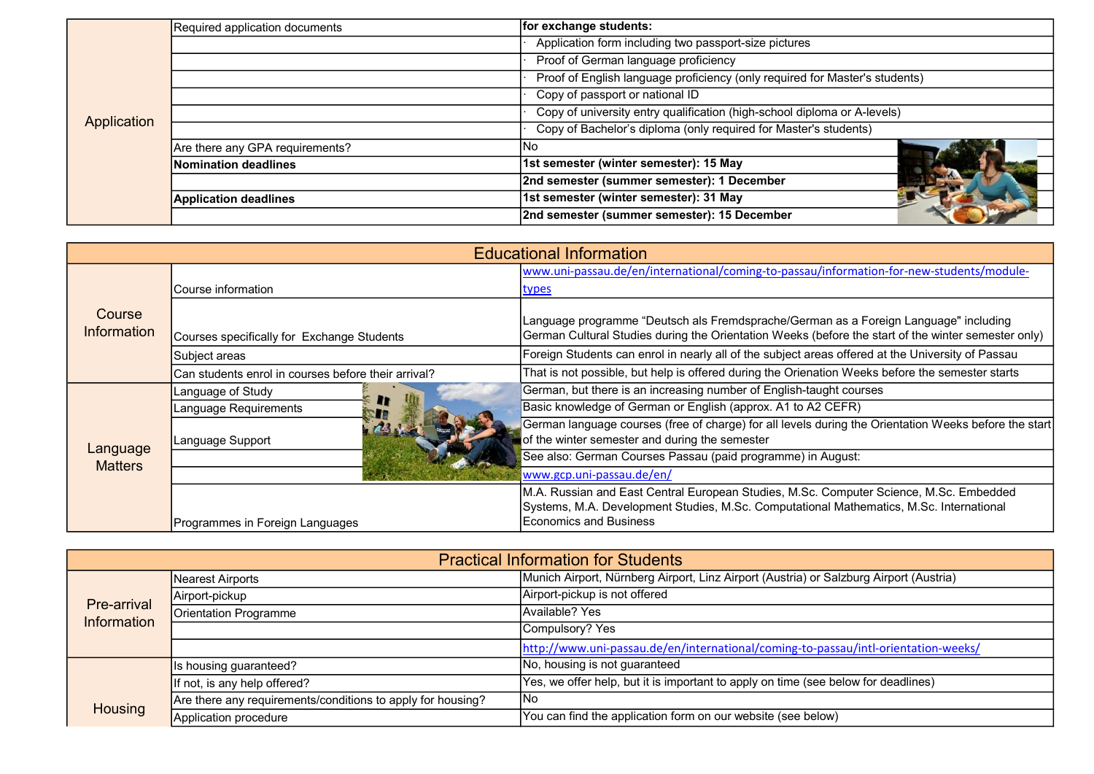|             | Required application documents  | for exchange students:                                                      |
|-------------|---------------------------------|-----------------------------------------------------------------------------|
|             |                                 | Application form including two passport-size pictures                       |
|             |                                 | Proof of German language proficiency                                        |
|             |                                 | Proof of English language proficiency (only required for Master's students) |
| Application |                                 | Copy of passport or national ID                                             |
|             |                                 | Copy of university entry qualification (high-school diploma or A-levels)    |
|             |                                 | Copy of Bachelor's diploma (only required for Master's students)            |
|             | Are there any GPA requirements? | INo                                                                         |
|             | Nomination deadlines            | 1st semester (winter semester): 15 May                                      |
|             |                                 | 2nd semester (summer semester): 1 December                                  |
|             | <b>Application deadlines</b>    | 1st semester (winter semester): 31 May                                      |
|             |                                 | 2nd semester (summer semester): 15 December                                 |

| <b>Educational Information</b> |                                                     |                                                                                                                                                                                                              |  |
|--------------------------------|-----------------------------------------------------|--------------------------------------------------------------------------------------------------------------------------------------------------------------------------------------------------------------|--|
| Course<br><b>Information</b>   |                                                     | www.uni-passau.de/en/international/coming-to-passau/information-for-new-students/module-                                                                                                                     |  |
|                                | Course information                                  | <u>types</u>                                                                                                                                                                                                 |  |
|                                | Courses specifically for Exchange Students          | Language programme "Deutsch als Fremdsprache/German as a Foreign Language" including<br>German Cultural Studies during the Orientation Weeks (before the start of the winter semester only)                  |  |
|                                | Subject areas                                       | Foreign Students can enrol in nearly all of the subject areas offered at the University of Passau                                                                                                            |  |
|                                | Can students enrol in courses before their arrival? | That is not possible, but help is offered during the Orienation Weeks before the semester starts                                                                                                             |  |
| Language<br><b>Matters</b>     | Language of Study                                   | German, but there is an increasing number of English-taught courses                                                                                                                                          |  |
|                                | Language Requirements                               | Basic knowledge of German or English (approx. A1 to A2 CEFR)                                                                                                                                                 |  |
|                                | Language Support                                    | German language courses (free of charge) for all levels during the Orientation Weeks before the start<br>of the winter semester and during the semester                                                      |  |
|                                |                                                     | See also: German Courses Passau (paid programme) in August:                                                                                                                                                  |  |
|                                |                                                     | www.gcp.uni-passau.de/en/                                                                                                                                                                                    |  |
|                                | Programmes in Foreign Languages                     | M.A. Russian and East Central European Studies, M.Sc. Computer Science, M.Sc. Embedded<br>Systems, M.A. Development Studies, M.Sc. Computational Mathematics, M.Sc. International<br>IEconomics and Business |  |

| <b>Practical Information for Students</b> |                                                             |                                                                                        |  |
|-------------------------------------------|-------------------------------------------------------------|----------------------------------------------------------------------------------------|--|
| Pre-arrival<br>Information                | Nearest Airports                                            | Munich Airport, Nürnberg Airport, Linz Airport (Austria) or Salzburg Airport (Austria) |  |
|                                           | Airport-pickup                                              | Airport-pickup is not offered                                                          |  |
|                                           | Orientation Programme                                       | Available? Yes                                                                         |  |
|                                           |                                                             | Compulsory? Yes                                                                        |  |
|                                           |                                                             | http://www.uni-passau.de/en/international/coming-to-passau/intl-orientation-weeks/     |  |
|                                           | Is housing guaranteed?                                      | No, housing is not guaranteed                                                          |  |
|                                           | If not, is any help offered?                                | Yes, we offer help, but it is important to apply on time (see below for deadlines)     |  |
| Housing                                   | Are there any requirements/conditions to apply for housing? | lNo                                                                                    |  |
|                                           | Application procedure                                       | You can find the application form on our website (see below)                           |  |